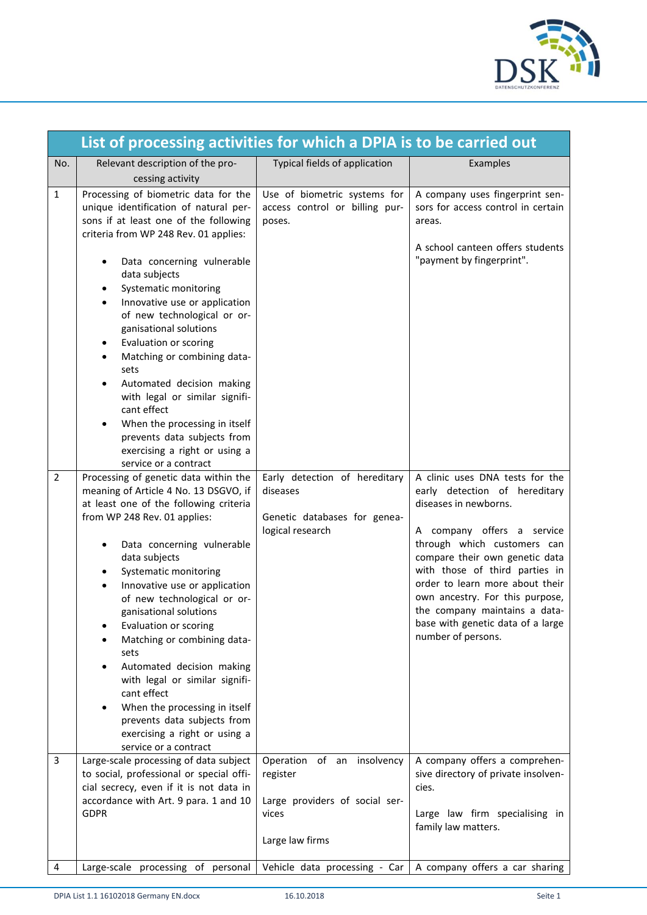

|                | List of processing activities for which a DPIA is to be carried out                                                                                                                                                                                                                                                                                                                                                                                                                                                                                                                                                                                                                                                                                                         |                                                                                               |                                                                                                                                                                                                                                                                                                                                |
|----------------|-----------------------------------------------------------------------------------------------------------------------------------------------------------------------------------------------------------------------------------------------------------------------------------------------------------------------------------------------------------------------------------------------------------------------------------------------------------------------------------------------------------------------------------------------------------------------------------------------------------------------------------------------------------------------------------------------------------------------------------------------------------------------------|-----------------------------------------------------------------------------------------------|--------------------------------------------------------------------------------------------------------------------------------------------------------------------------------------------------------------------------------------------------------------------------------------------------------------------------------|
| No.            | Relevant description of the pro-<br>cessing activity                                                                                                                                                                                                                                                                                                                                                                                                                                                                                                                                                                                                                                                                                                                        | Typical fields of application                                                                 | Examples                                                                                                                                                                                                                                                                                                                       |
| $\mathbf{1}$   | Processing of biometric data for the<br>unique identification of natural per-<br>sons if at least one of the following                                                                                                                                                                                                                                                                                                                                                                                                                                                                                                                                                                                                                                                      | Use of biometric systems for<br>access control or billing pur-<br>poses.                      | A company uses fingerprint sen-<br>sors for access control in certain<br>areas.                                                                                                                                                                                                                                                |
| $\overline{2}$ | criteria from WP 248 Rev. 01 applies:<br>Data concerning vulnerable<br>data subjects<br>Systematic monitoring<br>٠<br>Innovative use or application<br>$\bullet$<br>of new technological or or-<br>ganisational solutions<br>Evaluation or scoring<br>Matching or combining data-<br>sets<br>Automated decision making<br>with legal or similar signifi-<br>cant effect<br>When the processing in itself<br>prevents data subjects from<br>exercising a right or using a<br>service or a contract<br>Processing of genetic data within the<br>meaning of Article 4 No. 13 DSGVO, if<br>at least one of the following criteria<br>from WP 248 Rev. 01 applies:<br>Data concerning vulnerable<br>٠<br>data subjects<br>Systematic monitoring<br>Innovative use or application | Early detection of hereditary<br>diseases<br>Genetic databases for genea-<br>logical research | A school canteen offers students<br>"payment by fingerprint".<br>A clinic uses DNA tests for the<br>early detection of hereditary<br>diseases in newborns.<br>A company offers a service<br>through which customers can<br>compare their own genetic data<br>with those of third parties in<br>order to learn more about their |
| 3              | of new technological or or-<br>ganisational solutions<br>Evaluation or scoring<br>Matching or combining data-<br>sets<br>Automated decision making<br>with legal or similar signifi-<br>cant effect<br>When the processing in itself<br>prevents data subjects from<br>exercising a right or using a<br>service or a contract<br>Large-scale processing of data subject<br>to social, professional or special offi-<br>cial secrecy, even if it is not data in<br>accordance with Art. 9 para. 1 and 10                                                                                                                                                                                                                                                                     | Operation of an insolvency<br>register<br>Large providers of social ser-                      | own ancestry. For this purpose,<br>the company maintains a data-<br>base with genetic data of a large<br>number of persons.<br>A company offers a comprehen-<br>sive directory of private insolven-<br>cies.                                                                                                                   |
|                | <b>GDPR</b>                                                                                                                                                                                                                                                                                                                                                                                                                                                                                                                                                                                                                                                                                                                                                                 | vices<br>Large law firms                                                                      | Large law firm specialising in<br>family law matters.                                                                                                                                                                                                                                                                          |
| 4              | Large-scale processing of personal                                                                                                                                                                                                                                                                                                                                                                                                                                                                                                                                                                                                                                                                                                                                          | Vehicle data processing - Car                                                                 | A company offers a car sharing                                                                                                                                                                                                                                                                                                 |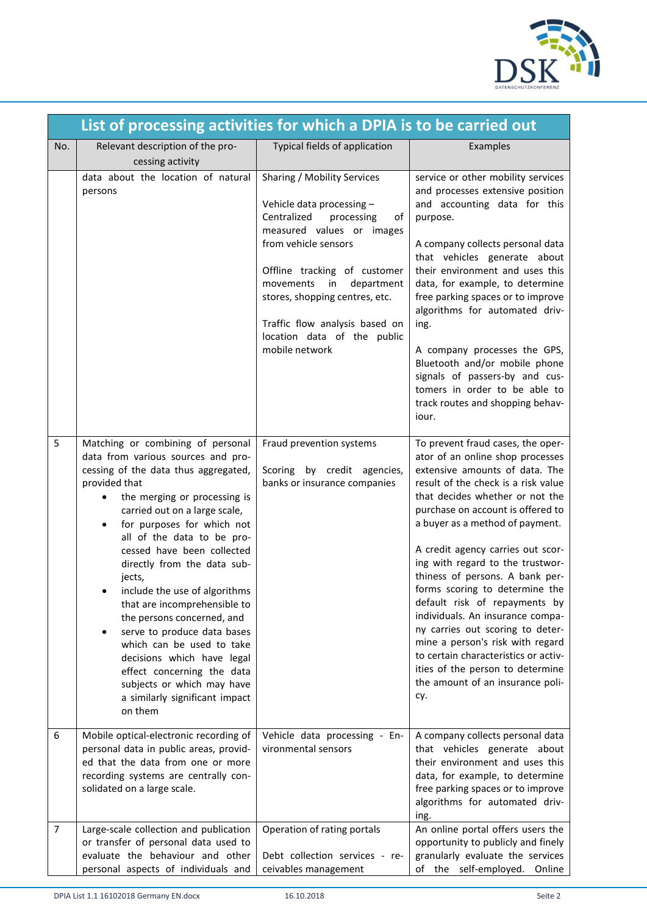

|     | List of processing activities for which a DPIA is to be carried out                                                                                                                                                                                                                                                                                                                                                                                                                                                                                                                                                                                      |                                                                                                                                                                                                                                                                                                                                        |                                                                                                                                                                                                                                                                                                                                                                                                                                                                                                                                                                                                                                                                             |  |
|-----|----------------------------------------------------------------------------------------------------------------------------------------------------------------------------------------------------------------------------------------------------------------------------------------------------------------------------------------------------------------------------------------------------------------------------------------------------------------------------------------------------------------------------------------------------------------------------------------------------------------------------------------------------------|----------------------------------------------------------------------------------------------------------------------------------------------------------------------------------------------------------------------------------------------------------------------------------------------------------------------------------------|-----------------------------------------------------------------------------------------------------------------------------------------------------------------------------------------------------------------------------------------------------------------------------------------------------------------------------------------------------------------------------------------------------------------------------------------------------------------------------------------------------------------------------------------------------------------------------------------------------------------------------------------------------------------------------|--|
| No. | Relevant description of the pro-<br>cessing activity                                                                                                                                                                                                                                                                                                                                                                                                                                                                                                                                                                                                     | Typical fields of application                                                                                                                                                                                                                                                                                                          | Examples                                                                                                                                                                                                                                                                                                                                                                                                                                                                                                                                                                                                                                                                    |  |
|     | data about the location of natural<br>persons                                                                                                                                                                                                                                                                                                                                                                                                                                                                                                                                                                                                            | Sharing / Mobility Services<br>Vehicle data processing -<br>Centralized<br>processing<br>οf<br>measured values or images<br>from vehicle sensors<br>Offline tracking of customer<br>department<br>movements<br>in<br>stores, shopping centres, etc.<br>Traffic flow analysis based on<br>location data of the public<br>mobile network | service or other mobility services<br>and processes extensive position<br>and accounting data for this<br>purpose.<br>A company collects personal data<br>that vehicles generate about<br>their environment and uses this<br>data, for example, to determine<br>free parking spaces or to improve<br>algorithms for automated driv-<br>ing.<br>A company processes the GPS,<br>Bluetooth and/or mobile phone<br>signals of passers-by and cus-<br>tomers in order to be able to<br>track routes and shopping behav-<br>iour.                                                                                                                                                |  |
| 5   | Matching or combining of personal<br>data from various sources and pro-<br>cessing of the data thus aggregated,<br>provided that<br>the merging or processing is<br>٠<br>carried out on a large scale,<br>for purposes for which not<br>$\bullet$<br>all of the data to be pro-<br>cessed have been collected<br>directly from the data sub-<br>jects,<br>include the use of algorithms<br>that are incomprehensible to<br>the persons concerned, and<br>serve to produce data bases<br>which can be used to take<br>decisions which have legal<br>effect concerning the data<br>subjects or which may have<br>a similarly significant impact<br>on them | Fraud prevention systems<br>Scoring by credit agencies,<br>banks or insurance companies                                                                                                                                                                                                                                                | To prevent fraud cases, the oper-<br>ator of an online shop processes<br>extensive amounts of data. The<br>result of the check is a risk value<br>that decides whether or not the<br>purchase on account is offered to<br>a buyer as a method of payment.<br>A credit agency carries out scor-<br>ing with regard to the trustwor-<br>thiness of persons. A bank per-<br>forms scoring to determine the<br>default risk of repayments by<br>individuals. An insurance compa-<br>ny carries out scoring to deter-<br>mine a person's risk with regard<br>to certain characteristics or activ-<br>ities of the person to determine<br>the amount of an insurance poli-<br>cy. |  |
| 6   | Mobile optical-electronic recording of<br>personal data in public areas, provid-<br>ed that the data from one or more<br>recording systems are centrally con-<br>solidated on a large scale.                                                                                                                                                                                                                                                                                                                                                                                                                                                             | Vehicle data processing - En-<br>vironmental sensors                                                                                                                                                                                                                                                                                   | A company collects personal data<br>that vehicles generate about<br>their environment and uses this<br>data, for example, to determine<br>free parking spaces or to improve<br>algorithms for automated driv-<br>ing.                                                                                                                                                                                                                                                                                                                                                                                                                                                       |  |
| 7   | Large-scale collection and publication<br>or transfer of personal data used to<br>evaluate the behaviour and other<br>personal aspects of individuals and                                                                                                                                                                                                                                                                                                                                                                                                                                                                                                | Operation of rating portals<br>Debt collection services - re-<br>ceivables management                                                                                                                                                                                                                                                  | An online portal offers users the<br>opportunity to publicly and finely<br>granularly evaluate the services<br>of the self-employed.<br>Online                                                                                                                                                                                                                                                                                                                                                                                                                                                                                                                              |  |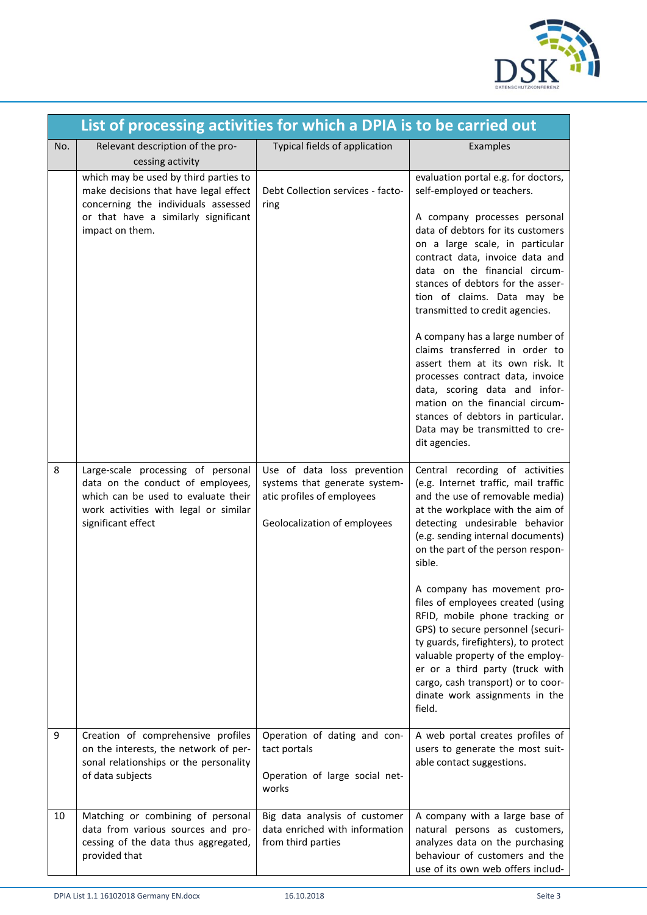

|     | List of processing activities for which a DPIA is to be carried out                                                                                                              |                                                                                                                            |                                                                                                                                                                                                                                                                                                                                                                                                                                                                                                                                                                                                                                                               |  |
|-----|----------------------------------------------------------------------------------------------------------------------------------------------------------------------------------|----------------------------------------------------------------------------------------------------------------------------|---------------------------------------------------------------------------------------------------------------------------------------------------------------------------------------------------------------------------------------------------------------------------------------------------------------------------------------------------------------------------------------------------------------------------------------------------------------------------------------------------------------------------------------------------------------------------------------------------------------------------------------------------------------|--|
| No. | Relevant description of the pro-<br>cessing activity                                                                                                                             | Typical fields of application                                                                                              | Examples                                                                                                                                                                                                                                                                                                                                                                                                                                                                                                                                                                                                                                                      |  |
|     | which may be used by third parties to<br>make decisions that have legal effect<br>concerning the individuals assessed<br>or that have a similarly significant<br>impact on them. | Debt Collection services - facto-<br>ring                                                                                  | evaluation portal e.g. for doctors,<br>self-employed or teachers.<br>A company processes personal<br>data of debtors for its customers<br>on a large scale, in particular<br>contract data, invoice data and<br>data on the financial circum-<br>stances of debtors for the asser-<br>tion of claims. Data may be<br>transmitted to credit agencies.<br>A company has a large number of<br>claims transferred in order to<br>assert them at its own risk. It<br>processes contract data, invoice<br>data, scoring data and infor-<br>mation on the financial circum-<br>stances of debtors in particular.<br>Data may be transmitted to cre-<br>dit agencies. |  |
| 8   | Large-scale processing of personal<br>data on the conduct of employees,<br>which can be used to evaluate their<br>work activities with legal or similar<br>significant effect    | Use of data loss prevention<br>systems that generate system-<br>atic profiles of employees<br>Geolocalization of employees | Central recording of activities<br>(e.g. Internet traffic, mail traffic<br>and the use of removable media)<br>at the workplace with the aim of<br>detecting undesirable behavior<br>(e.g. sending internal documents)<br>on the part of the person respon-<br>sible.<br>A company has movement pro-<br>files of employees created (using<br>RFID, mobile phone tracking or<br>GPS) to secure personnel (securi-<br>ty guards, firefighters), to protect<br>valuable property of the employ-<br>er or a third party (truck with<br>cargo, cash transport) or to coor-<br>dinate work assignments in the<br>field.                                              |  |
| 9   | Creation of comprehensive profiles<br>on the interests, the network of per-<br>sonal relationships or the personality<br>of data subjects                                        | Operation of dating and con-<br>tact portals<br>Operation of large social net-<br>works                                    | A web portal creates profiles of<br>users to generate the most suit-<br>able contact suggestions.                                                                                                                                                                                                                                                                                                                                                                                                                                                                                                                                                             |  |
| 10  | Matching or combining of personal<br>data from various sources and pro-<br>cessing of the data thus aggregated,<br>provided that                                                 | Big data analysis of customer<br>data enriched with information<br>from third parties                                      | A company with a large base of<br>natural persons as customers,<br>analyzes data on the purchasing<br>behaviour of customers and the<br>use of its own web offers includ-                                                                                                                                                                                                                                                                                                                                                                                                                                                                                     |  |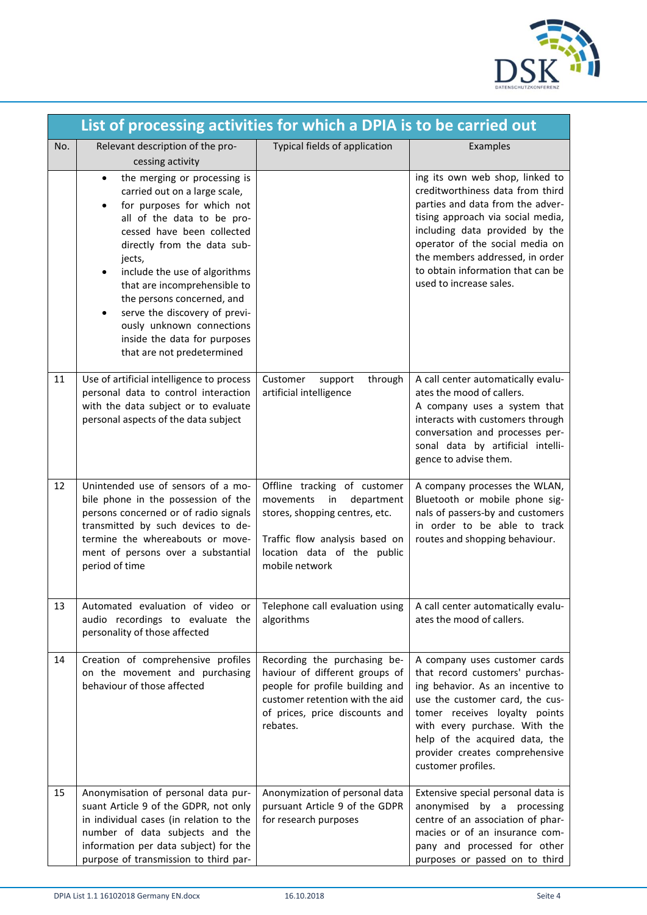

|     | List of processing activities for which a DPIA is to be carried out                                                                                                                                                                                                                                                                                                                                                                                   |                                                                                                                                                                                    |                                                                                                                                                                                                                                                                                                                      |
|-----|-------------------------------------------------------------------------------------------------------------------------------------------------------------------------------------------------------------------------------------------------------------------------------------------------------------------------------------------------------------------------------------------------------------------------------------------------------|------------------------------------------------------------------------------------------------------------------------------------------------------------------------------------|----------------------------------------------------------------------------------------------------------------------------------------------------------------------------------------------------------------------------------------------------------------------------------------------------------------------|
| No. | Relevant description of the pro-<br>cessing activity                                                                                                                                                                                                                                                                                                                                                                                                  | Typical fields of application                                                                                                                                                      | Examples                                                                                                                                                                                                                                                                                                             |
|     | the merging or processing is<br>$\bullet$<br>carried out on a large scale,<br>for purposes for which not<br>$\bullet$<br>all of the data to be pro-<br>cessed have been collected<br>directly from the data sub-<br>jects,<br>include the use of algorithms<br>that are incomprehensible to<br>the persons concerned, and<br>serve the discovery of previ-<br>ously unknown connections<br>inside the data for purposes<br>that are not predetermined |                                                                                                                                                                                    | ing its own web shop, linked to<br>creditworthiness data from third<br>parties and data from the adver-<br>tising approach via social media,<br>including data provided by the<br>operator of the social media on<br>the members addressed, in order<br>to obtain information that can be<br>used to increase sales. |
| 11  | Use of artificial intelligence to process<br>personal data to control interaction<br>with the data subject or to evaluate<br>personal aspects of the data subject                                                                                                                                                                                                                                                                                     | Customer<br>through<br>support<br>artificial intelligence                                                                                                                          | A call center automatically evalu-<br>ates the mood of callers.<br>A company uses a system that<br>interacts with customers through<br>conversation and processes per-<br>sonal data by artificial intelli-<br>gence to advise them.                                                                                 |
| 12  | Unintended use of sensors of a mo-<br>bile phone in the possession of the<br>persons concerned or of radio signals<br>transmitted by such devices to de-<br>termine the whereabouts or move-<br>ment of persons over a substantial<br>period of time                                                                                                                                                                                                  | Offline tracking of customer<br>department<br>movements<br>in<br>stores, shopping centres, etc.<br>Traffic flow analysis based on<br>location data of the public<br>mobile network | A company processes the WLAN,<br>Bluetooth or mobile phone sig-<br>nals of passers-by and customers<br>in order to be able to track<br>routes and shopping behaviour.                                                                                                                                                |
| 13  | Automated evaluation of video or<br>audio recordings to evaluate the<br>personality of those affected                                                                                                                                                                                                                                                                                                                                                 | Telephone call evaluation using<br>algorithms                                                                                                                                      | A call center automatically evalu-<br>ates the mood of callers.                                                                                                                                                                                                                                                      |
| 14  | Creation of comprehensive profiles<br>on the movement and purchasing<br>behaviour of those affected                                                                                                                                                                                                                                                                                                                                                   | Recording the purchasing be-<br>haviour of different groups of<br>people for profile building and<br>customer retention with the aid<br>of prices, price discounts and<br>rebates. | A company uses customer cards<br>that record customers' purchas-<br>ing behavior. As an incentive to<br>use the customer card, the cus-<br>tomer receives loyalty points<br>with every purchase. With the<br>help of the acquired data, the<br>provider creates comprehensive<br>customer profiles.                  |
| 15  | Anonymisation of personal data pur-<br>suant Article 9 of the GDPR, not only<br>in individual cases (in relation to the<br>number of data subjects and the<br>information per data subject) for the<br>purpose of transmission to third par-                                                                                                                                                                                                          | Anonymization of personal data<br>pursuant Article 9 of the GDPR<br>for research purposes                                                                                          | Extensive special personal data is<br>anonymised by a processing<br>centre of an association of phar-<br>macies or of an insurance com-<br>pany and processed for other<br>purposes or passed on to third                                                                                                            |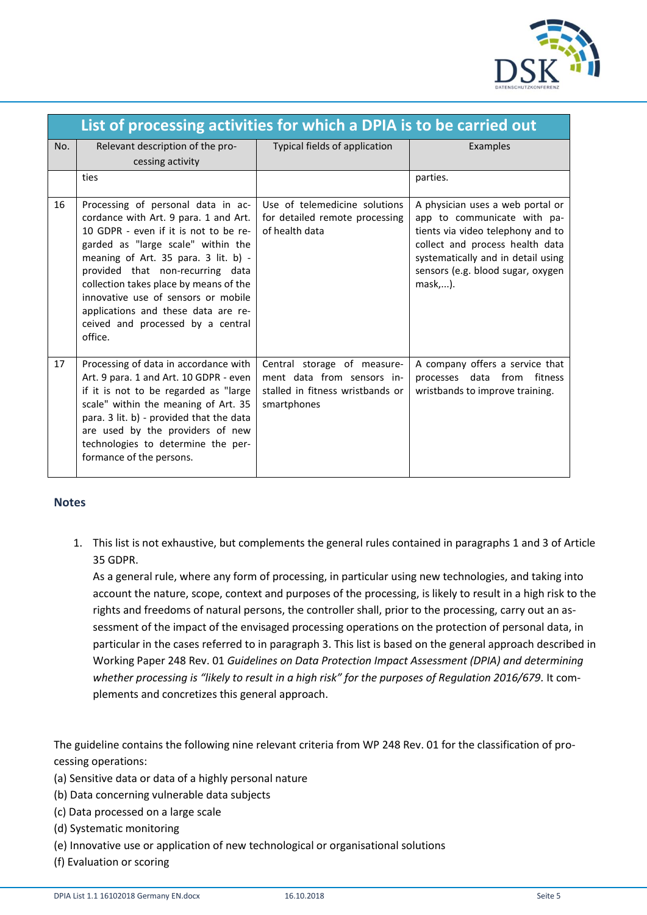

|     | List of processing activities for which a DPIA is to be carried out                                                                                                                                                                                                                                                                                                                                            |                                                                                                              |                                                                                                                                                                                                                               |  |
|-----|----------------------------------------------------------------------------------------------------------------------------------------------------------------------------------------------------------------------------------------------------------------------------------------------------------------------------------------------------------------------------------------------------------------|--------------------------------------------------------------------------------------------------------------|-------------------------------------------------------------------------------------------------------------------------------------------------------------------------------------------------------------------------------|--|
| No. | Relevant description of the pro-<br>cessing activity                                                                                                                                                                                                                                                                                                                                                           | Typical fields of application                                                                                | Examples                                                                                                                                                                                                                      |  |
|     | ties                                                                                                                                                                                                                                                                                                                                                                                                           |                                                                                                              | parties.                                                                                                                                                                                                                      |  |
| 16  | Processing of personal data in ac-<br>cordance with Art. 9 para. 1 and Art.<br>10 GDPR - even if it is not to be re-<br>garded as "large scale" within the<br>meaning of Art. 35 para. 3 lit. b) -<br>provided that non-recurring data<br>collection takes place by means of the<br>innovative use of sensors or mobile<br>applications and these data are re-<br>ceived and processed by a central<br>office. | Use of telemedicine solutions<br>for detailed remote processing<br>of health data                            | A physician uses a web portal or<br>app to communicate with pa-<br>tients via video telephony and to<br>collect and process health data<br>systematically and in detail using<br>sensors (e.g. blood sugar, oxygen<br>mask,). |  |
| 17  | Processing of data in accordance with<br>Art. 9 para. 1 and Art. 10 GDPR - even<br>if it is not to be regarded as "large<br>scale" within the meaning of Art. 35<br>para. 3 lit. b) - provided that the data<br>are used by the providers of new<br>technologies to determine the per-<br>formance of the persons.                                                                                             | Central storage of measure-<br>ment data from sensors in-<br>stalled in fitness wristbands or<br>smartphones | A company offers a service that<br>processes data from<br>fitness<br>wristbands to improve training.                                                                                                                          |  |

## **Notes**

1. This list is not exhaustive, but complements the general rules contained in paragraphs 1 and 3 of Article 35 GDPR.

As a general rule, where any form of processing, in particular using new technologies, and taking into account the nature, scope, context and purposes of the processing, is likely to result in a high risk to the rights and freedoms of natural persons, the controller shall, prior to the processing, carry out an assessment of the impact of the envisaged processing operations on the protection of personal data, in particular in the cases referred to in paragraph 3. This list is based on the general approach described in Working Paper 248 Rev. 01 *Guidelines on Data Protection Impact Assessment (DPIA) and determining whether processing is "likely to result in a high risk" for the purposes of Regulation 2016/679.* It complements and concretizes this general approach.

The guideline contains the following nine relevant criteria from WP 248 Rev. 01 for the classification of processing operations:

- (a) Sensitive data or data of a highly personal nature
- (b) Data concerning vulnerable data subjects
- (c) Data processed on a large scale
- (d) Systematic monitoring
- (e) Innovative use or application of new technological or organisational solutions
- (f) Evaluation or scoring